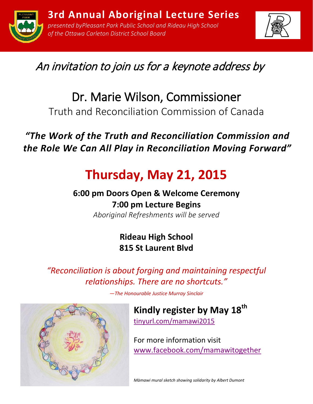



# An invitation to join us for a keynote address by

# Dr. Marie Wilson, Commissioner

Truth and Reconciliation Commission of Canada

## *"The Work of the Truth and Reconciliation Commission and the Role We Can All Play in Reconciliation Moving Forward"*

# **Thursday, May 21, 2015**

## **6:00 pm Doors Open & Welcome Ceremony 7:00 pm Lecture Begins**

*Aboriginal Refreshments will be served*

#### **Rideau High School 815 St Laurent Blvd**

*"Reconciliation is about forging and maintaining respectful relationships. There are no shortcuts."*

*—The Honourable Justice Murray Sinclair*



[tinyurl.com/mamawi2015](http://pleasantpark.ticketleap.com/trc/)

For more information visit [www.facebook.com/mamawitogether](https://www.facebook.com/mamawitogether)